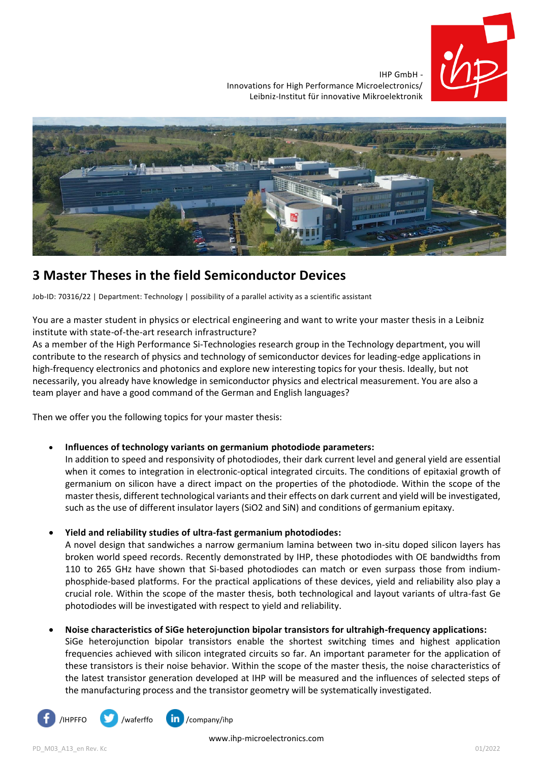

IHP GmbH - Innovations for High Performance Microelectronics/ Leibniz-Institut für innovative Mikroelektronik



# **3 Master Theses in the field Semiconductor Devices**

Job-ID: 70316/22 | Department: Technology | possibility of a parallel activity as a scientific assistant

You are a master student in physics or electrical engineering and want to write your master thesis in a Leibniz institute with state-of-the-art research infrastructure?

As a member of the High Performance Si-Technologies research group in the Technology department, you will contribute to the research of physics and technology of semiconductor devices for leading-edge applications in high-frequency electronics and photonics and explore new interesting topics for your thesis. Ideally, but not necessarily, you already have knowledge in semiconductor physics and electrical measurement. You are also a team player and have a good command of the German and English languages?

Then we offer you the following topics for your master thesis:

## • **Influences of technology variants on germanium photodiode parameters:**

In addition to speed and responsivity of photodiodes, their dark current level and general yield are essential when it comes to integration in electronic-optical integrated circuits. The conditions of epitaxial growth of germanium on silicon have a direct impact on the properties of the photodiode. Within the scope of the master thesis, different technological variants and their effects on dark current and yield will be investigated, such as the use of different insulator layers (SiO2 and SiN) and conditions of germanium epitaxy.

## • **Yield and reliability studies of ultra-fast germanium photodiodes:**

A novel design that sandwiches a narrow germanium lamina between two in-situ doped silicon layers has broken world speed records. Recently demonstrated by IHP, these photodiodes with OE bandwidths from 110 to 265 GHz have shown that Si-based photodiodes can match or even surpass those from indiumphosphide-based platforms. For the practical applications of these devices, yield and reliability also play a crucial role. Within the scope of the master thesis, both technological and layout variants of ultra-fast Ge photodiodes will be investigated with respect to yield and reliability.

# • **Noise characteristics of SiGe heterojunction bipolar transistors for ultrahigh-frequency applications:**

SiGe heterojunction bipolar transistors enable the shortest switching times and highest application frequencies achieved with silicon integrated circuits so far. An important parameter for the application of these transistors is their noise behavior. Within the scope of the master thesis, the noise characteristics of the latest transistor generation developed at IHP will be measured and the influences of selected steps of the manufacturing process and the transistor geometry will be systematically investigated.